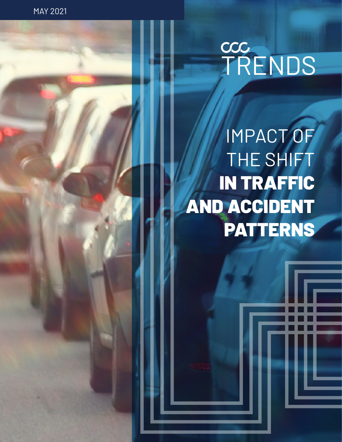MAY 2021

# CCC<br>TRENDS

# IMPACT OF THE SHIFT IN TRAFFIC AND ACCIDENT PATTERNS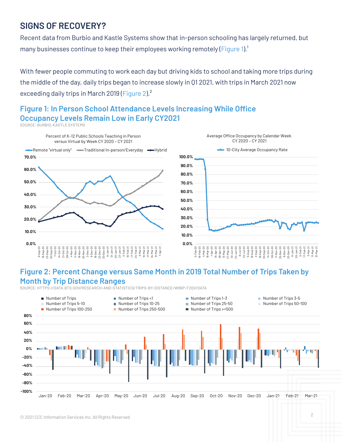# **SIGNS OF RECOVERY?**

Recent data from Burbio and Kastle Systems show that in-person schooling has largely returned, but many businesses continue to keep their employees working remotely (Figure 1).<sup>1</sup>

With fewer people commuting to work each day but driving kids to school and taking more trips during the middle of the day, daily trips began to increase slowly in Q1 2021, with trips in March 2021 now exceeding daily trips in March 2019 (Figure 2).<sup>2</sup>

# **Figure 1: In Person School Attendance Levels Increasing While Office Occupancy Levels Remain Low in Early CY2021**

SOURCE: BURBIO, KASTLE SYSTEMS



### **Figure 2: Percent Change versus Same Month in 2019 Total Number of Trips Taken by Month by Trip Distance Ranges**

SOURCE: HTTPS://DATA.BTS.GOV/RESEARCH-AND-STATISTICS/TRIPS-BY-DISTANCE/W96P-F2QV/DATA

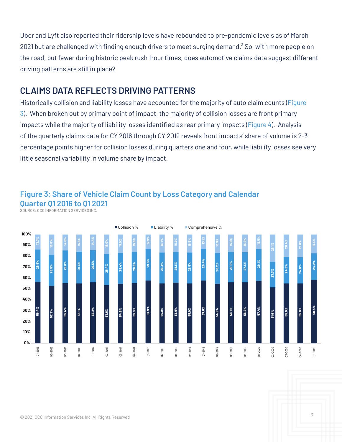Uber and Lyft also reported their ridership levels have rebounded to pre-pandemic levels as of March 2021 but are challenged with finding enough drivers to meet surging demand. $3$  So, with more people on the road, but fewer during historic peak rush-hour times, does automotive claims data suggest different driving patterns are still in place?

# **CLAIMS DATA REFLECTS DRIVING PATTERNS**

Historically collision and liability losses have accounted for the majority of auto claim counts (Figure 3). When broken out by primary point of impact, the majority of collision losses are front primary impacts while the majority of liability losses identified as rear primary impacts (Figure 4). Analysis of the quarterly claims data for CY 2016 through CY 2019 reveals front impacts' share of volume is 2-3 percentage points higher for collision losses during quarters one and four, while liability losses see very little seasonal variability in volume share by impact.



# **Figure 3: Share of Vehicle Claim Count by Loss Category and Calendar Quarter Q1 2016 to Q1 2021**

SOURCE: CCC INFORMATION SERVICES INC.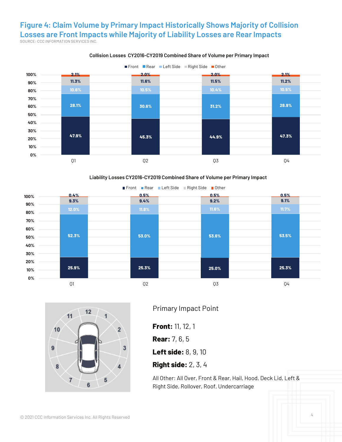#### **Figure 4: Claim Volume by Primary Impact Historically Shows Majority of Collision Losses are Front Impacts while Majority of Liability Losses are Rear Impacts** SOURCE: CCC INFORMATION SERVICES INC.



#### **Collision Losses CY2016-CY2019 Combined Share of Volume per Primary Impact**







Primary Impact Point

**Front:** 11, 12, 1

**Rear:** 7, 6, 5

**Left side:** 8, 9, 10

#### **Right side:** 2, 3, 4

All Other: All Over, Front & Rear, Hail, Hood, Deck Lid, Left & Right Side, Rollover, Roof, Undercarriage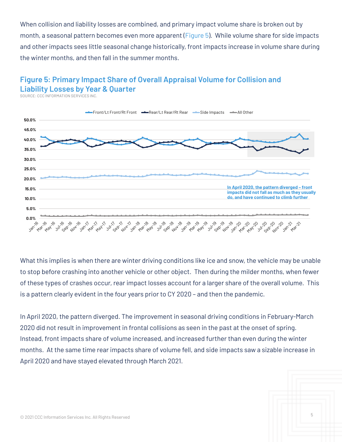When collision and liability losses are combined, and primary impact volume share is broken out by month, a seasonal pattern becomes even more apparent (Figure 5). While volume share for side impacts and other impacts sees little seasonal change historically, front impacts increase in volume share during the winter months, and then fall in the summer months.

## **Figure 5: Primary Impact Share of Overall Appraisal Volume for Collision and Liability Losses by Year & Quarter**

SOURCE: CCC INFORMATION SERVICES INC.



What this implies is when there are winter driving conditions like ice and snow, the vehicle may be unable to stop before crashing into another vehicle or other object. Then during the milder months, when fewer of these types of crashes occur, rear impact losses account for a larger share of the overall volume. This is a pattern clearly evident in the four years prior to CY 2020 – and then the pandemic.

In April 2020, the pattern diverged. The improvement in seasonal driving conditions in February-March 2020 did not result in improvement in frontal collisions as seen in the past at the onset of spring. Instead, front impacts share of volume increased, and increased further than even during the winter months. At the same time rear impacts share of volume fell, and side impacts saw a sizable increase in April 2020 and have stayed elevated through March 2021.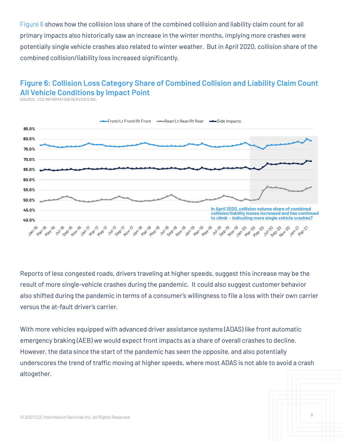Figure 6 shows how the collision loss share of the combined collision and liability claim count for all primary impacts also historically saw an increase in the winter months, implying more crashes were potentially single vehicle crashes also related to winter weather. But in April 2020, collision share of the combined collision/liability loss increased significantly.

# **Figure 6: Collision Loss Category Share of Combined Collision and Liability Claim Count All Vehicle Conditions by Impact Point**

SOURCE: CCC INFORMATION SERVICES INC.



Reports of less congested roads, drivers traveling at higher speeds, suggest this increase may be the result of more single-vehicle crashes during the pandemic. It could also suggest customer behavior also shifted during the pandemic in terms of a consumer's willingness to file a loss with their own carrier versus the at-fault driver's carrier.

With more vehicles equipped with advanced driver assistance systems (ADAS) like front automatic emergency braking (AEB) we would expect front impacts as a share of overall crashes to decline. However, the data since the start of the pandemic has seen the opposite, and also potentially underscores the trend of traffic moving at higher speeds, where most ADAS is not able to avoid a crash altogether.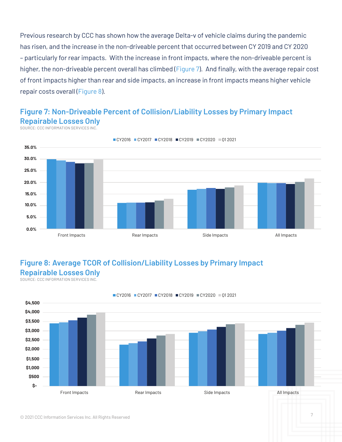Previous research by CCC has shown how the average Delta-v of vehicle claims during the pandemic has risen, and the increase in the non-driveable percent that occurred between CY 2019 and CY 2020 – particularly for rear impacts. With the increase in front impacts, where the non-driveable percent is higher, the non-driveable percent overall has climbed (Figure 7). And finally, with the average repair cost of front impacts higher than rear and side impacts, an increase in front impacts means higher vehicle repair costs overall (Figure 8).

### **Figure 7: Non-Driveable Percent of Collision/Liability Losses by Primary Impact Repairable Losses Only**





# **Figure 8: Average TCOR of Collision/Liability Losses by Primary Impact Repairable Losses Only**

SOURCE: CCC INFORMATION SERVICES INC.



#### ■CY2016 ■CY2017 ■CY2018 ■CY2019 ■CY2020 ■01 2021

#### © 2021 CCC Information Services Inc. All Rights Reserved <sup>7</sup>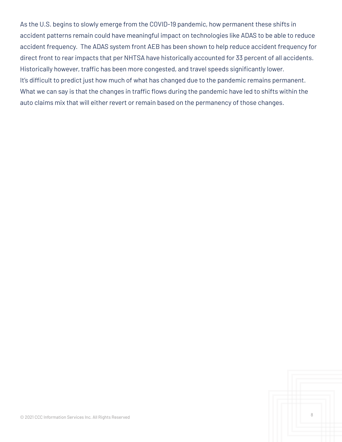As the U.S. begins to slowly emerge from the COVID-19 pandemic, how permanent these shifts in accident patterns remain could have meaningful impact on technologies like ADAS to be able to reduce accident frequency. The ADAS system front AEB has been shown to help reduce accident frequency for direct front to rear impacts that per NHTSA have historically accounted for 33 percent of all accidents. Historically however, traffic has been more congested, and travel speeds significantly lower. It's difficult to predict just how much of what has changed due to the pandemic remains permanent. What we can say is that the changes in traffic flows during the pandemic have led to shifts within the auto claims mix that will either revert or remain based on the permanency of those changes.